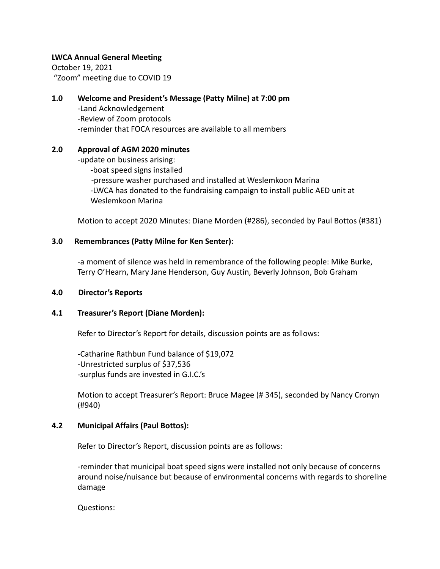#### **LWCA Annual General Meeting**

October 19, 2021 "Zoom" meeting due to COVID 19

# **1.0 Welcome and President's Message (Patty Milne) at 7:00 pm**

-Land Acknowledgement -Review of Zoom protocols -reminder that FOCA resources are available to all members

#### **2.0 Approval of AGM 2020 minutes**

-update on business arising: -boat speed signs installed -pressure washer purchased and installed at Weslemkoon Marina -LWCA has donated to the fundraising campaign to install public AED unit at Weslemkoon Marina

Motion to accept 2020 Minutes: Diane Morden (#286), seconded by Paul Bottos (#381)

#### **3.0 Remembrances (Patty Milne for Ken Senter):**

-a moment of silence was held in remembrance of the following people: Mike Burke, Terry O'Hearn, Mary Jane Henderson, Guy Austin, Beverly Johnson, Bob Graham

#### **4.0 Director's Reports**

#### **4.1 Treasurer's Report (Diane Morden):**

Refer to Director's Report for details, discussion points are as follows:

-Catharine Rathbun Fund balance of \$19,072 -Unrestricted surplus of \$37,536 -surplus funds are invested in G.I.C.'s

Motion to accept Treasurer's Report: Bruce Magee (# 345), seconded by Nancy Cronyn (#940)

#### **4.2 Municipal Affairs (Paul Bottos):**

Refer to Director's Report, discussion points are as follows:

-reminder that municipal boat speed signs were installed not only because of concerns around noise/nuisance but because of environmental concerns with regards to shoreline damage

Questions: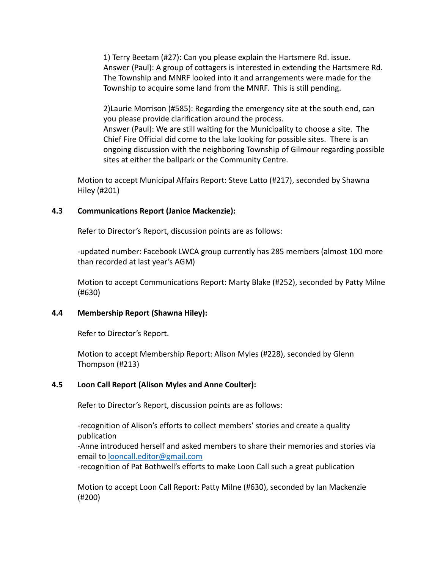1) Terry Beetam (#27): Can you please explain the Hartsmere Rd. issue. Answer (Paul): A group of cottagers is interested in extending the Hartsmere Rd. The Township and MNRF looked into it and arrangements were made for the Township to acquire some land from the MNRF. This is still pending.

2)Laurie Morrison (#585): Regarding the emergency site at the south end, can you please provide clarification around the process. Answer (Paul): We are still waiting for the Municipality to choose a site. The Chief Fire Official did come to the lake looking for possible sites. There is an ongoing discussion with the neighboring Township of Gilmour regarding possible sites at either the ballpark or the Community Centre.

Motion to accept Municipal Affairs Report: Steve Latto (#217), seconded by Shawna Hiley (#201)

## **4.3 Communications Report (Janice Mackenzie):**

Refer to Director's Report, discussion points are as follows:

-updated number: Facebook LWCA group currently has 285 members (almost 100 more than recorded at last year's AGM)

Motion to accept Communications Report: Marty Blake (#252), seconded by Patty Milne (#630)

#### **4.4 Membership Report (Shawna Hiley):**

Refer to Director's Report.

Motion to accept Membership Report: Alison Myles (#228), seconded by Glenn Thompson (#213)

# **4.5 Loon Call Report (Alison Myles and Anne Coulter):**

Refer to Director's Report, discussion points are as follows:

-recognition of Alison's efforts to collect members' stories and create a quality publication

-Anne introduced herself and asked members to share their memories and stories via email to [looncall.editor@gmail.com](mailto:looncall.editor@gmail.com)

-recognition of Pat Bothwell's efforts to make Loon Call such a great publication

Motion to accept Loon Call Report: Patty Milne (#630), seconded by Ian Mackenzie (#200)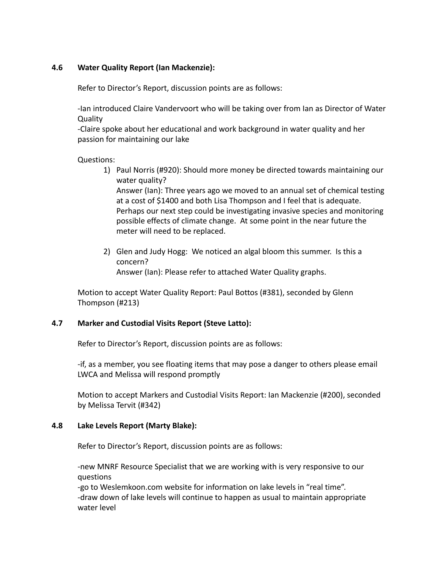## **4.6 Water Quality Report (Ian Mackenzie):**

Refer to Director's Report, discussion points are as follows:

-Ian introduced Claire Vandervoort who will be taking over from Ian as Director of Water **Quality** 

-Claire spoke about her educational and work background in water quality and her passion for maintaining our lake

#### Questions:

1) Paul Norris (#920): Should more money be directed towards maintaining our water quality?

Answer (Ian): Three years ago we moved to an annual set of chemical testing at a cost of \$1400 and both Lisa Thompson and I feel that is adequate. Perhaps our next step could be investigating invasive species and monitoring possible effects of climate change. At some point in the near future the meter will need to be replaced.

2) Glen and Judy Hogg: We noticed an algal bloom this summer. Is this a concern? Answer (Ian): Please refer to attached Water Quality graphs.

Motion to accept Water Quality Report: Paul Bottos (#381), seconded by Glenn Thompson (#213)

#### **4.7 Marker and Custodial Visits Report (Steve Latto):**

Refer to Director's Report, discussion points are as follows:

-if, as a member, you see floating items that may pose a danger to others please email LWCA and Melissa will respond promptly

Motion to accept Markers and Custodial Visits Report: Ian Mackenzie (#200), seconded by Melissa Tervit (#342)

#### **4.8 Lake Levels Report (Marty Blake):**

Refer to Director's Report, discussion points are as follows:

-new MNRF Resource Specialist that we are working with is very responsive to our questions

-go to Weslemkoon.com website for information on lake levels in "real time". -draw down of lake levels will continue to happen as usual to maintain appropriate water level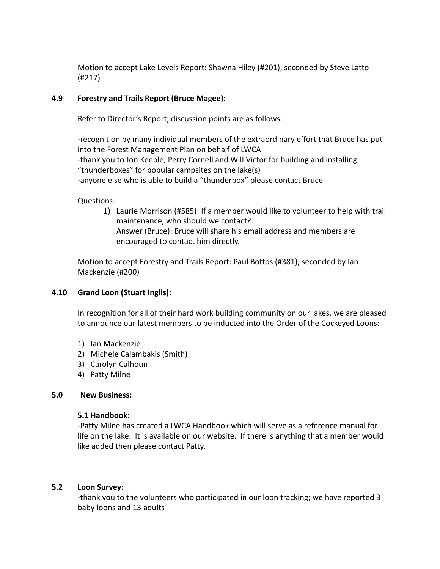Motion to accept Lake Levels Report: Shawna Hiley (#201), seconded by Steve Latto (#217)

## **4.9 Forestry and Trails Report (Bruce Magee):**

Refer to Director's Report, discussion points are as follows:

-recognition by many individual members of the extraordinary effort that Bruce has put into the Forest Management Plan on behalf of LWCA -thank you to Jon Keeble, Perry Cornell and Will Victor for building and installing "thunderboxes" for popular campsites on the lake(s) -anyone else who is able to build a "thunderbox" please contact Bruce

#### Questions:

1) Laurie Morrison (#585): If a member would like to volunteer to help with trail maintenance, who should we contact? Answer (Bruce): Bruce will share his email address and members are encouraged to contact him directly.

Motion to accept Forestry and Trails Report: Paul Bottos (#381), seconded by Ian Mackenzie (#200)

# **4.10 Grand Loon (Stuart Inglis):**

In recognition for all of their hard work building community on our lakes, we are pleased to announce our latest members to be inducted into the Order of the Cockeyed Loons:

- 1) Ian Mackenzie
- 2) Michele Calambakis (Smith)
- 3) Carolyn Calhoun
- 4) Patty Milne

#### **5.0 New Business:**

#### **5.1 Handbook:**

-Patty Milne has created a LWCA Handbook which will serve as a reference manual for life on the lake. It is available on our website. If there is anything that a member would like added then please contact Patty.

#### **5.2 Loon Survey:**

-thank you to the volunteers who participated in our loon tracking; we have reported 3 baby loons and 13 adults